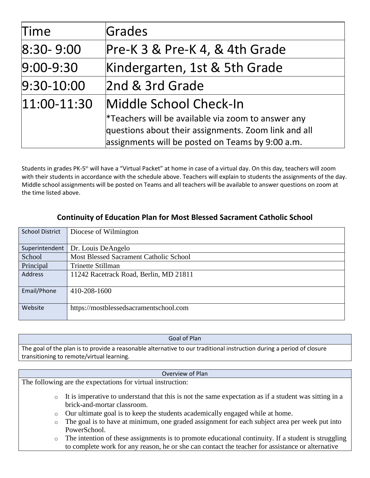| Time           | Grades                                                                                                                                                         |
|----------------|----------------------------------------------------------------------------------------------------------------------------------------------------------------|
| $8:30 - 9:00$  | Pre-K 3 & Pre-K 4, & 4th Grade                                                                                                                                 |
| $9:00 - 9:30$  | Kindergarten, 1st & 5th Grade                                                                                                                                  |
| $9:30-10:00$   | 2nd & 3rd Grade                                                                                                                                                |
| $ 11:00-11:30$ | Middle School Check-In                                                                                                                                         |
|                | *Teachers will be available via zoom to answer any<br>questions about their assignments. Zoom link and all<br>assignments will be posted on Teams by 9:00 a.m. |

Students in grades PK-5<sup>th</sup> will have a "Virtual Packet" at home in case of a virtual day. On this day, teachers will zoom with their students in accordance with the schedule above. Teachers will explain to students the assignments of the day. Middle school assignments will be posted on Teams and all teachers will be available to answer questions on zoom at the time listed above.

# **Continuity of Education Plan for Most Blessed Sacrament Catholic School**

| <b>School District</b> | Diocese of Wilmington                  |
|------------------------|----------------------------------------|
|                        |                                        |
| Superintendent         | Dr. Louis DeAngelo                     |
| School                 | Most Blessed Sacrament Catholic School |
| Principal              | Trinette Stillman                      |
| Address                | 11242 Racetrack Road, Berlin, MD 21811 |
| Email/Phone            | 410-208-1600                           |
| Website                | https://mostblessedsacramentschool.com |

#### Goal of Plan

The goal of the plan is to provide a reasonable alternative to our traditional instruction during a period of closure transitioning to remote/virtual learning.

#### Overview of Plan

The following are the expectations for virtual instruction:

- o It is imperative to understand that this is not the same expectation as if a student was sitting in a brick-and-mortar classroom.
- o Our ultimate goal is to keep the students academically engaged while at home.
- o The goal is to have at minimum, one graded assignment for each subject area per week put into PowerSchool.
- o The intention of these assignments is to promote educational continuity. If a student is struggling to complete work for any reason, he or she can contact the teacher for assistance or alternative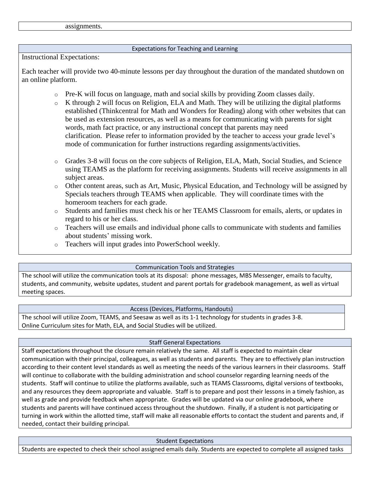assignments.

#### Expectations for Teaching and Learning

Instructional Expectations:

Each teacher will provide two 40-minute lessons per day throughout the duration of the mandated shutdown on an online platform.

- $\circ$  Pre-K will focus on language, math and social skills by providing Zoom classes daily.
- o K through 2 will focus on Religion, ELA and Math. They will be utilizing the digital platforms established (Thinkcentral for Math and Wonders for Reading) along with other websites that can be used as extension resources, as well as a means for communicating with parents for sight words, math fact practice, or any instructional concept that parents may need clarification. Please refer to information provided by the teacher to access your grade level's mode of communication for further instructions regarding assignments/activities.
- o Grades 3-8 will focus on the core subjects of Religion, ELA, Math, Social Studies, and Science using TEAMS as the platform for receiving assignments. Students will receive assignments in all subject areas.
- o Other content areas, such as Art, Music, Physical Education, and Technology will be assigned by Specials teachers through TEAMS when applicable. They will coordinate times with the homeroom teachers for each grade.
- o Students and families must check his or her TEAMS Classroom for emails, alerts, or updates in regard to his or her class.
- $\circ$  Teachers will use emails and individual phone calls to communicate with students and families about students' missing work.
- o Teachers will input grades into PowerSchool weekly.

# Communication Tools and Strategies

The school will utilize the communication tools at its disposal: phone messages, MBS Messenger, emails to faculty, students, and community, website updates, student and parent portals for gradebook management, as well as virtual meeting spaces.

# Access (Devices, Platforms, Handouts)

The school will utilize Zoom, TEAMS, and Seesaw as well as its 1-1 technology for students in grades 3-8. Online Curriculum sites for Math, ELA, and Social Studies will be utilized.

# Staff General Expectations

Staff expectations throughout the closure remain relatively the same. All staff is expected to maintain clear communication with their principal, colleagues, as well as students and parents. They are to effectively plan instruction according to their content level standards as well as meeting the needs of the various learners in their classrooms. Staff will continue to collaborate with the building administration and school counselor regarding learning needs of the students. Staff will continue to utilize the platforms available, such as TEAMS Classrooms, digital versions of textbooks, and any resources they deem appropriate and valuable. Staff is to prepare and post their lessons in a timely fashion, as well as grade and provide feedback when appropriate. Grades will be updated via our online gradebook, where students and parents will have continued access throughout the shutdown. Finally, if a student is not participating or turning in work within the allotted time, staff will make all reasonable efforts to contact the student and parents and, if needed, contact their building principal.

Student Expectations

Students are expected to check their school assigned emails daily. Students are expected to complete all assigned tasks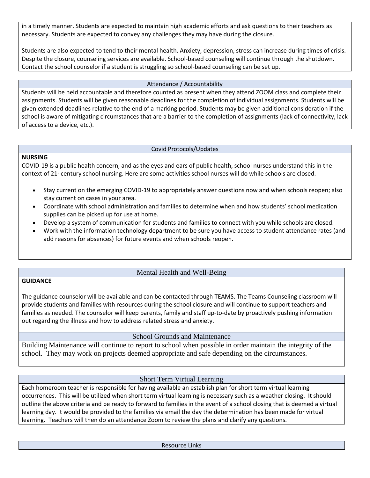in a timely manner. Students are expected to maintain high academic efforts and ask questions to their teachers as necessary. Students are expected to convey any challenges they may have during the closure.

Students are also expected to tend to their mental health. Anxiety, depression, stress can increase during times of crisis. Despite the closure, counseling services are available. School-based counseling will continue through the shutdown. Contact the school counselor if a student is struggling so school-based counseling can be set up.

#### Attendance / Accountability

Students will be held accountable and therefore counted as present when they attend ZOOM class and complete their assignments. Students will be given reasonable deadlines for the completion of individual assignments. Students will be given extended deadlines relative to the end of a marking period. Students may be given additional consideration if the school is aware of mitigating circumstances that are a barrier to the completion of assignments (lack of connectivity, lack of access to a device, etc.).

#### Covid Protocols/Updates

#### **NURSING**

COVID-19 is a public health concern, and as the eyes and ears of public health, school nurses understand this in the context of  $21$ <sup>\*</sup> century school nursing. Here are some activities school nurses will do while schools are closed.

- Stay current on the emerging COVID-19 to appropriately answer questions now and when schools reopen; also stay current on cases in your area.
- Coordinate with school administration and families to determine when and how students' school medication supplies can be picked up for use at home.
- Develop a system of communication for students and families to connect with you while schools are closed.
- Work with the information technology department to be sure you have access to student attendance rates (and add reasons for absences) for future events and when schools reopen.

# Mental Health and Well-Being

# **GUIDANCE**

The guidance counselor will be available and can be contacted through TEAMS. The Teams Counseling classroom will provide students and families with resources during the school closure and will continue to support teachers and families as needed. The counselor will keep parents, family and staff up-to-date by proactively pushing information out regarding the illness and how to address related stress and anxiety.

# School Grounds and Maintenance

Building Maintenance will continue to report to school when possible in order maintain the integrity of the school. They may work on projects deemed appropriate and safe depending on the circumstances.

# Short Term Virtual Learning

Each homeroom teacher is responsible for having available an establish plan for short term virtual learning occurrences. This will be utilized when short term virtual learning is necessary such as a weather closing. It should outline the above criteria and be ready to forward to families in the event of a school closing that is deemed a virtual learning day. It would be provided to the families via email the day the determination has been made for virtual learning. Teachers will then do an attendance Zoom to review the plans and clarify any questions.

Resource Links